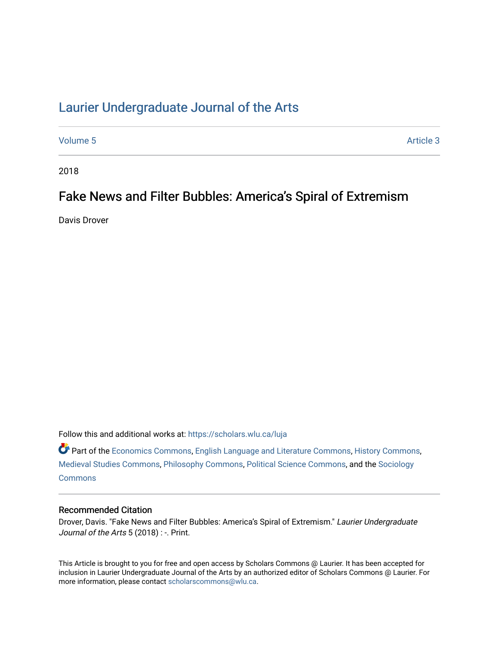# [Laurier Undergraduate Journal of the Arts](https://scholars.wlu.ca/luja)

[Volume 5](https://scholars.wlu.ca/luja/vol5) Article 3

2018

# Fake News and Filter Bubbles: America's Spiral of Extremism

Davis Drover

Follow this and additional works at: [https://scholars.wlu.ca/luja](https://scholars.wlu.ca/luja?utm_source=scholars.wlu.ca%2Fluja%2Fvol5%2Fiss1%2F3&utm_medium=PDF&utm_campaign=PDFCoverPages) 

Part of the [Economics Commons](http://network.bepress.com/hgg/discipline/340?utm_source=scholars.wlu.ca%2Fluja%2Fvol5%2Fiss1%2F3&utm_medium=PDF&utm_campaign=PDFCoverPages), [English Language and Literature Commons,](http://network.bepress.com/hgg/discipline/455?utm_source=scholars.wlu.ca%2Fluja%2Fvol5%2Fiss1%2F3&utm_medium=PDF&utm_campaign=PDFCoverPages) [History Commons,](http://network.bepress.com/hgg/discipline/489?utm_source=scholars.wlu.ca%2Fluja%2Fvol5%2Fiss1%2F3&utm_medium=PDF&utm_campaign=PDFCoverPages) [Medieval Studies Commons](http://network.bepress.com/hgg/discipline/480?utm_source=scholars.wlu.ca%2Fluja%2Fvol5%2Fiss1%2F3&utm_medium=PDF&utm_campaign=PDFCoverPages), [Philosophy Commons](http://network.bepress.com/hgg/discipline/525?utm_source=scholars.wlu.ca%2Fluja%2Fvol5%2Fiss1%2F3&utm_medium=PDF&utm_campaign=PDFCoverPages), [Political Science Commons](http://network.bepress.com/hgg/discipline/386?utm_source=scholars.wlu.ca%2Fluja%2Fvol5%2Fiss1%2F3&utm_medium=PDF&utm_campaign=PDFCoverPages), and the [Sociology](http://network.bepress.com/hgg/discipline/416?utm_source=scholars.wlu.ca%2Fluja%2Fvol5%2Fiss1%2F3&utm_medium=PDF&utm_campaign=PDFCoverPages)  **[Commons](http://network.bepress.com/hgg/discipline/416?utm_source=scholars.wlu.ca%2Fluja%2Fvol5%2Fiss1%2F3&utm_medium=PDF&utm_campaign=PDFCoverPages)** 

#### Recommended Citation

Drover, Davis. "Fake News and Filter Bubbles: America's Spiral of Extremism." Laurier Undergraduate Journal of the Arts 5 (2018) : -. Print.

This Article is brought to you for free and open access by Scholars Commons @ Laurier. It has been accepted for inclusion in Laurier Undergraduate Journal of the Arts by an authorized editor of Scholars Commons @ Laurier. For more information, please contact [scholarscommons@wlu.ca](mailto:scholarscommons@wlu.ca).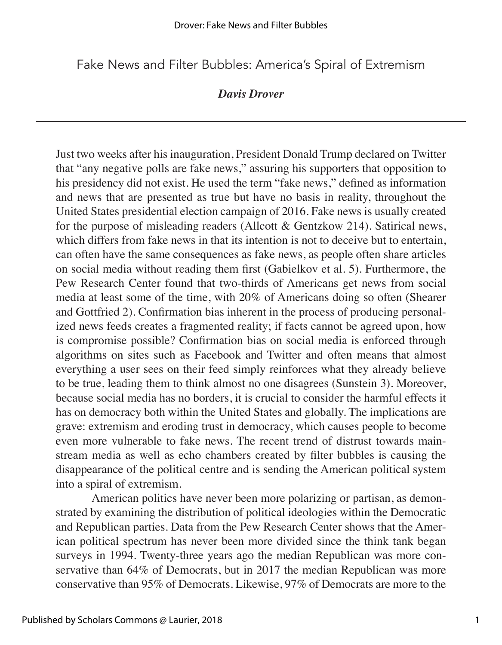Fake News and Filter Bubbles: America's Spiral of Extremism

## *Davis Drover*

Just two weeks after his inauguration, President Donald Trump declared on Twitter that "any negative polls are fake news," assuring his supporters that opposition to his presidency did not exist. He used the term "fake news," defined as information and news that are presented as true but have no basis in reality, throughout the United States presidential election campaign of 2016. Fake news is usually created for the purpose of misleading readers (Allcott & Gentzkow 214). Satirical news, which differs from fake news in that its intention is not to deceive but to entertain. can often have the same consequences as fake news, as people often share articles on social media without reading them first (Gabielkov et al. 5). Furthermore, the Pew Research Center found that two-thirds of Americans get news from social media at least some of the time, with 20% of Americans doing so often (Shearer and Gottfried 2). Confirmation bias inherent in the process of producing personalized news feeds creates a fragmented reality; if facts cannot be agreed upon, how is compromise possible? Confirmation bias on social media is enforced through algorithms on sites such as Facebook and Twitter and often means that almost everything a user sees on their feed simply reinforces what they already believe to be true, leading them to think almost no one disagrees (Sunstein 3). Moreover, because social media has no borders, it is crucial to consider the harmful effects it has on democracy both within the United States and globally. The implications are grave: extremism and eroding trust in democracy, which causes people to become even more vulnerable to fake news. The recent trend of distrust towards mainstream media as well as echo chambers created by filter bubbles is causing the disappearance of the political centre and is sending the American political system into a spiral of extremism.

American politics have never been more polarizing or partisan, as demonstrated by examining the distribution of political ideologies within the Democratic and Republican parties. Data from the Pew Research Center shows that the American political spectrum has never been more divided since the think tank began surveys in 1994. Twenty-three years ago the median Republican was more conservative than 64% of Democrats, but in 2017 the median Republican was more conservative than 95% of Democrats. Likewise, 97% of Democrats are more to the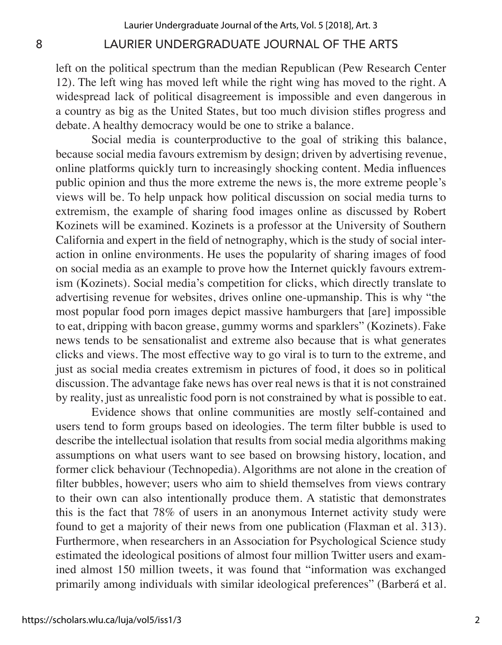left on the political spectrum than the median Republican (Pew Research Center 12). The left wing has moved left while the right wing has moved to the right. A widespread lack of political disagreement is impossible and even dangerous in a country as big as the United States, but too much division stifles progress and debate. A healthy democracy would be one to strike a balance.

Social media is counterproductive to the goal of striking this balance, because social media favours extremism by design; driven by advertising revenue, online platforms quickly turn to increasingly shocking content. Media influences public opinion and thus the more extreme the news is, the more extreme people's views will be. To help unpack how political discussion on social media turns to extremism, the example of sharing food images online as discussed by Robert Kozinets will be examined. Kozinets is a professor at the University of Southern California and expert in the field of netnography, which is the study of social interaction in online environments. He uses the popularity of sharing images of food on social media as an example to prove how the Internet quickly favours extremism (Kozinets). Social media's competition for clicks, which directly translate to advertising revenue for websites, drives online one-upmanship. This is why "the most popular food porn images depict massive hamburgers that [are] impossible to eat, dripping with bacon grease, gummy worms and sparklers" (Kozinets). Fake news tends to be sensationalist and extreme also because that is what generates clicks and views. The most effective way to go viral is to turn to the extreme, and just as social media creates extremism in pictures of food, it does so in political discussion. The advantage fake news has over real news is that it is not constrained by reality, just as unrealistic food porn is not constrained by what is possible to eat.

Evidence shows that online communities are mostly self-contained and users tend to form groups based on ideologies. The term filter bubble is used to describe the intellectual isolation that results from social media algorithms making assumptions on what users want to see based on browsing history, location, and former click behaviour (Technopedia). Algorithms are not alone in the creation of filter bubbles, however; users who aim to shield themselves from views contrary to their own can also intentionally produce them. A statistic that demonstrates this is the fact that 78% of users in an anonymous Internet activity study were found to get a majority of their news from one publication (Flaxman et al. 313). Furthermore, when researchers in an Association for Psychological Science study estimated the ideological positions of almost four million Twitter users and examined almost 150 million tweets, it was found that "information was exchanged primarily among individuals with similar ideological preferences" (Barberá et al.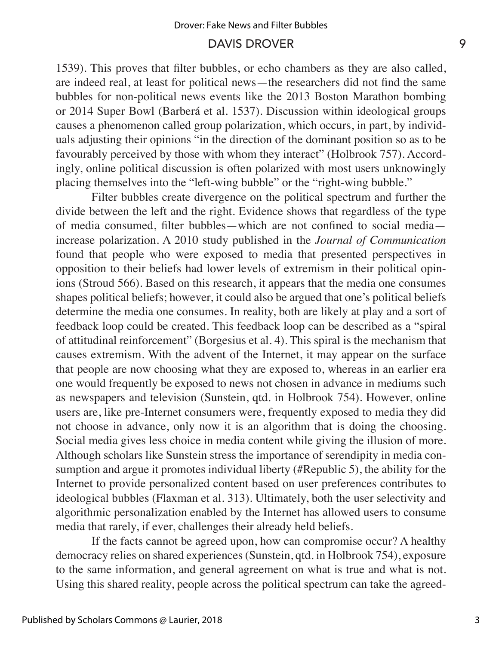1539). This proves that filter bubbles, or echo chambers as they are also called, are indeed real, at least for political news—the researchers did not find the same bubbles for non-political news events like the 2013 Boston Marathon bombing or 2014 Super Bowl (Barberá et al. 1537). Discussion within ideological groups causes a phenomenon called group polarization, which occurs, in part, by individuals adjusting their opinions "in the direction of the dominant position so as to be favourably perceived by those with whom they interact" (Holbrook 757). Accordingly, online political discussion is often polarized with most users unknowingly placing themselves into the "left-wing bubble" or the "right-wing bubble."

Filter bubbles create divergence on the political spectrum and further the divide between the left and the right. Evidence shows that regardless of the type of media consumed, filter bubbles—which are not confined to social media increase polarization. A 2010 study published in the *Journal of Communication*  found that people who were exposed to media that presented perspectives in opposition to their beliefs had lower levels of extremism in their political opinions (Stroud 566). Based on this research, it appears that the media one consumes shapes political beliefs; however, it could also be argued that one's political beliefs determine the media one consumes. In reality, both are likely at play and a sort of feedback loop could be created. This feedback loop can be described as a "spiral of attitudinal reinforcement" (Borgesius et al. 4). This spiral is the mechanism that causes extremism. With the advent of the Internet, it may appear on the surface that people are now choosing what they are exposed to, whereas in an earlier era one would frequently be exposed to news not chosen in advance in mediums such as newspapers and television (Sunstein, qtd. in Holbrook 754). However, online users are, like pre-Internet consumers were, frequently exposed to media they did not choose in advance, only now it is an algorithm that is doing the choosing. Social media gives less choice in media content while giving the illusion of more. Although scholars like Sunstein stress the importance of serendipity in media consumption and argue it promotes individual liberty (#Republic 5), the ability for the Internet to provide personalized content based on user preferences contributes to ideological bubbles (Flaxman et al. 313). Ultimately, both the user selectivity and algorithmic personalization enabled by the Internet has allowed users to consume media that rarely, if ever, challenges their already held beliefs.

If the facts cannot be agreed upon, how can compromise occur? A healthy democracy relies on shared experiences (Sunstein, qtd. in Holbrook 754), exposure to the same information, and general agreement on what is true and what is not. Using this shared reality, people across the political spectrum can take the agreed-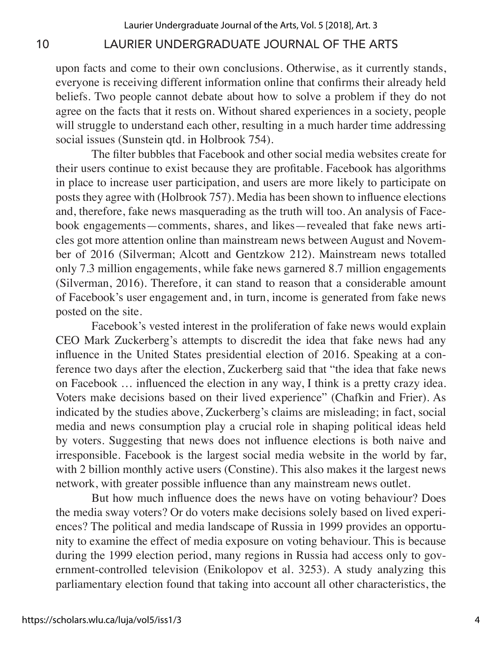upon facts and come to their own conclusions. Otherwise, as it currently stands, everyone is receiving different information online that confirms their already held beliefs. Two people cannot debate about how to solve a problem if they do not agree on the facts that it rests on. Without shared experiences in a society, people will struggle to understand each other, resulting in a much harder time addressing social issues (Sunstein qtd. in Holbrook 754).

The filter bubbles that Facebook and other social media websites create for their users continue to exist because they are profitable. Facebook has algorithms in place to increase user participation, and users are more likely to participate on posts they agree with (Holbrook 757). Media has been shown to influence elections and, therefore, fake news masquerading as the truth will too. An analysis of Facebook engagements—comments, shares, and likes—revealed that fake news articles got more attention online than mainstream news between August and November of 2016 (Silverman; Alcott and Gentzkow 212). Mainstream news totalled only 7.3 million engagements, while fake news garnered 8.7 million engagements (Silverman, 2016). Therefore, it can stand to reason that a considerable amount of Facebook's user engagement and, in turn, income is generated from fake news posted on the site.

Facebook's vested interest in the proliferation of fake news would explain CEO Mark Zuckerberg's attempts to discredit the idea that fake news had any influence in the United States presidential election of 2016. Speaking at a conference two days after the election, Zuckerberg said that "the idea that fake news on Facebook … influenced the election in any way, I think is a pretty crazy idea. Voters make decisions based on their lived experience" (Chafkin and Frier). As indicated by the studies above, Zuckerberg's claims are misleading; in fact, social media and news consumption play a crucial role in shaping political ideas held by voters. Suggesting that news does not influence elections is both naive and irresponsible. Facebook is the largest social media website in the world by far, with 2 billion monthly active users (Constine). This also makes it the largest news network, with greater possible influence than any mainstream news outlet.

But how much influence does the news have on voting behaviour? Does the media sway voters? Or do voters make decisions solely based on lived experiences? The political and media landscape of Russia in 1999 provides an opportunity to examine the effect of media exposure on voting behaviour. This is because during the 1999 election period, many regions in Russia had access only to government-controlled television (Enikolopov et al. 3253). A study analyzing this parliamentary election found that taking into account all other characteristics, the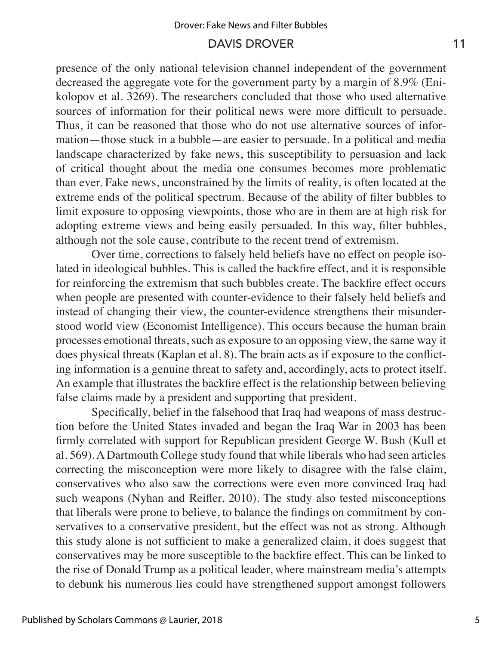presence of the only national television channel independent of the government decreased the aggregate vote for the government party by a margin of 8.9% (Enikolopov et al. 3269). The researchers concluded that those who used alternative sources of information for their political news were more difficult to persuade. Thus, it can be reasoned that those who do not use alternative sources of information—those stuck in a bubble—are easier to persuade. In a political and media landscape characterized by fake news, this susceptibility to persuasion and lack of critical thought about the media one consumes becomes more problematic than ever. Fake news, unconstrained by the limits of reality, is often located at the extreme ends of the political spectrum. Because of the ability of filter bubbles to limit exposure to opposing viewpoints, those who are in them are at high risk for adopting extreme views and being easily persuaded. In this way, filter bubbles, although not the sole cause, contribute to the recent trend of extremism.

Over time, corrections to falsely held beliefs have no effect on people isolated in ideological bubbles. This is called the backfire effect, and it is responsible for reinforcing the extremism that such bubbles create. The backfire effect occurs when people are presented with counter-evidence to their falsely held beliefs and instead of changing their view, the counter-evidence strengthens their misunderstood world view (Economist Intelligence). This occurs because the human brain processes emotional threats, such as exposure to an opposing view, the same way it does physical threats (Kaplan et al. 8). The brain acts as if exposure to the conflicting information is a genuine threat to safety and, accordingly, acts to protect itself. An example that illustrates the backfire effect is the relationship between believing false claims made by a president and supporting that president.

Specifically, belief in the falsehood that Iraq had weapons of mass destruction before the United States invaded and began the Iraq War in 2003 has been firmly correlated with support for Republican president George W. Bush (Kull et al. 569). A Dartmouth College study found that while liberals who had seen articles correcting the misconception were more likely to disagree with the false claim, conservatives who also saw the corrections were even more convinced Iraq had such weapons (Nyhan and Reifler, 2010). The study also tested misconceptions that liberals were prone to believe, to balance the findings on commitment by conservatives to a conservative president, but the effect was not as strong. Although this study alone is not sufficient to make a generalized claim, it does suggest that conservatives may be more susceptible to the backfire effect. This can be linked to the rise of Donald Trump as a political leader, where mainstream media's attempts to debunk his numerous lies could have strengthened support amongst followers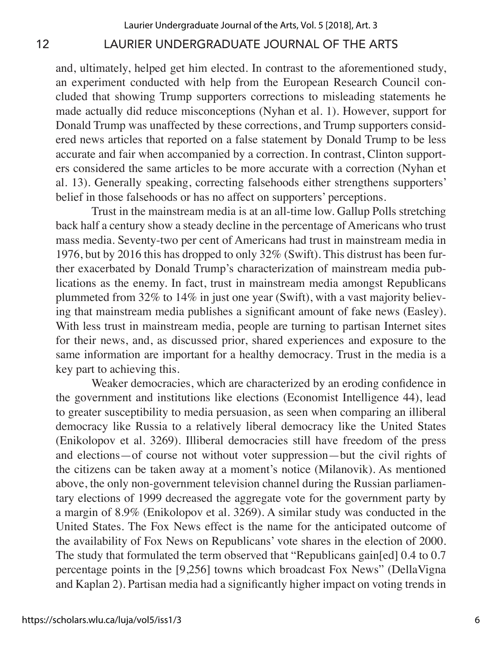and, ultimately, helped get him elected. In contrast to the aforementioned study, an experiment conducted with help from the European Research Council concluded that showing Trump supporters corrections to misleading statements he made actually did reduce misconceptions (Nyhan et al. 1). However, support for Donald Trump was unaffected by these corrections, and Trump supporters considered news articles that reported on a false statement by Donald Trump to be less accurate and fair when accompanied by a correction. In contrast, Clinton supporters considered the same articles to be more accurate with a correction (Nyhan et al. 13). Generally speaking, correcting falsehoods either strengthens supporters' belief in those falsehoods or has no affect on supporters' perceptions.

Trust in the mainstream media is at an all-time low. Gallup Polls stretching back half a century show a steady decline in the percentage of Americans who trust mass media. Seventy-two per cent of Americans had trust in mainstream media in 1976, but by 2016 this has dropped to only 32% (Swift). This distrust has been further exacerbated by Donald Trump's characterization of mainstream media publications as the enemy. In fact, trust in mainstream media amongst Republicans plummeted from 32% to 14% in just one year (Swift), with a vast majority believing that mainstream media publishes a significant amount of fake news (Easley). With less trust in mainstream media, people are turning to partisan Internet sites for their news, and, as discussed prior, shared experiences and exposure to the same information are important for a healthy democracy. Trust in the media is a key part to achieving this.

Weaker democracies, which are characterized by an eroding confidence in the government and institutions like elections (Economist Intelligence 44), lead to greater susceptibility to media persuasion, as seen when comparing an illiberal democracy like Russia to a relatively liberal democracy like the United States (Enikolopov et al. 3269). Illiberal democracies still have freedom of the press and elections—of course not without voter suppression—but the civil rights of the citizens can be taken away at a moment's notice (Milanovik). As mentioned above, the only non-government television channel during the Russian parliamentary elections of 1999 decreased the aggregate vote for the government party by a margin of 8.9% (Enikolopov et al. 3269). A similar study was conducted in the United States. The Fox News effect is the name for the anticipated outcome of the availability of Fox News on Republicans' vote shares in the election of 2000. The study that formulated the term observed that "Republicans gain[ed] 0.4 to 0.7 percentage points in the [9,256] towns which broadcast Fox News" (DellaVigna and Kaplan 2). Partisan media had a significantly higher impact on voting trends in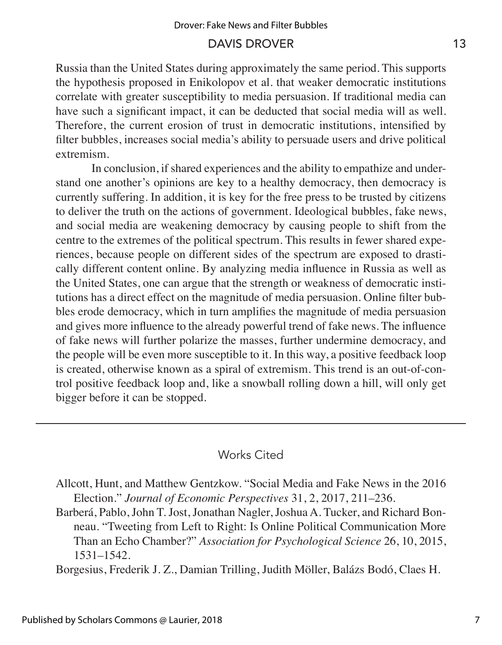Russia than the United States during approximately the same period. This supports the hypothesis proposed in Enikolopov et al. that weaker democratic institutions correlate with greater susceptibility to media persuasion. If traditional media can have such a significant impact, it can be deducted that social media will as well. Therefore, the current erosion of trust in democratic institutions, intensified by filter bubbles, increases social media's ability to persuade users and drive political extremism.

In conclusion, if shared experiences and the ability to empathize and understand one another's opinions are key to a healthy democracy, then democracy is currently suffering. In addition, it is key for the free press to be trusted by citizens to deliver the truth on the actions of government. Ideological bubbles, fake news, and social media are weakening democracy by causing people to shift from the centre to the extremes of the political spectrum. This results in fewer shared experiences, because people on different sides of the spectrum are exposed to drastically different content online. By analyzing media influence in Russia as well as the United States, one can argue that the strength or weakness of democratic institutions has a direct effect on the magnitude of media persuasion. Online filter bubbles erode democracy, which in turn amplifies the magnitude of media persuasion and gives more influence to the already powerful trend of fake news. The influence of fake news will further polarize the masses, further undermine democracy, and the people will be even more susceptible to it. In this way, a positive feedback loop is created, otherwise known as a spiral of extremism. This trend is an out-of-control positive feedback loop and, like a snowball rolling down a hill, will only get bigger before it can be stopped.

### Works Cited

Allcott, Hunt, and Matthew Gentzkow. "Social Media and Fake News in the 2016 Election." *Journal of Economic Perspectives* 31, 2, 2017, 211–236.

Barberá, Pablo, John T. Jost, Jonathan Nagler, Joshua A. Tucker, and Richard Bonneau. "Tweeting from Left to Right: Is Online Political Communication More Than an Echo Chamber?" *Association for Psychological Science* 26, 10, 2015, 1531–1542.

Borgesius, Frederik J. Z., Damian Trilling, Judith Möller, Balázs Bodó, Claes H.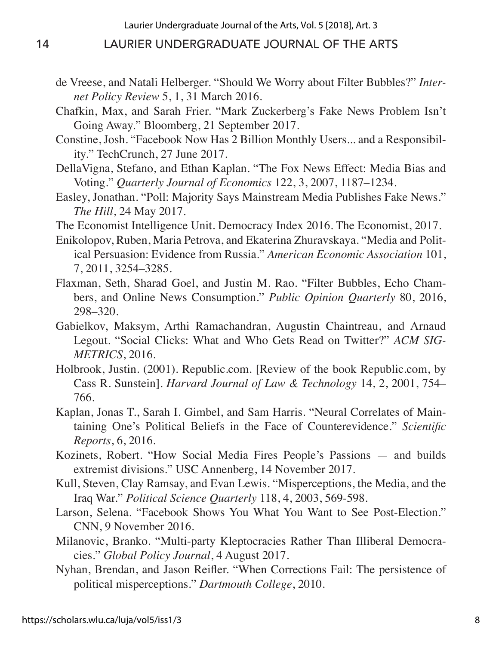- de Vreese, and Natali Helberger. "Should We Worry about Filter Bubbles?" *Internet Policy Review* 5, 1, 31 March 2016.
- Chafkin, Max, and Sarah Frier. "Mark Zuckerberg's Fake News Problem Isn't Going Away." Bloomberg, 21 September 2017.
- Constine, Josh. "Facebook Now Has 2 Billion Monthly Users... and a Responsibility." TechCrunch, 27 June 2017.
- DellaVigna, Stefano, and Ethan Kaplan. "The Fox News Effect: Media Bias and Voting." *Quarterly Journal of Economics* 122, 3, 2007, 1187–1234.
- Easley, Jonathan. "Poll: Majority Says Mainstream Media Publishes Fake News." *The Hill*, 24 May 2017.
- The Economist Intelligence Unit. Democracy Index 2016. The Economist, 2017.
- Enikolopov, Ruben, Maria Petrova, and Ekaterina Zhuravskaya. "Media and Political Persuasion: Evidence from Russia." *American Economic Association* 101, 7, 2011, 3254–3285.
- Flaxman, Seth, Sharad Goel, and Justin M. Rao. "Filter Bubbles, Echo Chambers, and Online News Consumption." *Public Opinion Quarterly* 80, 2016, 298–320.
- Gabielkov, Maksym, Arthi Ramachandran, Augustin Chaintreau, and Arnaud Legout. "Social Clicks: What and Who Gets Read on Twitter?" *ACM SIG-METRICS*, 2016.
- Holbrook, Justin. (2001). Republic.com. [Review of the book Republic.com, by Cass R. Sunstein]. *Harvard Journal of Law & Technology* 14, 2, 2001, 754– 766.
- Kaplan, Jonas T., Sarah I. Gimbel, and Sam Harris. "Neural Correlates of Maintaining One's Political Beliefs in the Face of Counterevidence." *Scientific Reports*, 6, 2016.
- Kozinets, Robert. "How Social Media Fires People's Passions and builds extremist divisions." USC Annenberg, 14 November 2017.
- Kull, Steven, Clay Ramsay, and Evan Lewis. "Misperceptions, the Media, and the Iraq War." *Political Science Quarterly* 118, 4, 2003, 569-598.
- Larson, Selena. "Facebook Shows You What You Want to See Post-Election." CNN, 9 November 2016.
- Milanovic, Branko. "Multi-party Kleptocracies Rather Than Illiberal Democracies." *Global Policy Journal*, 4 August 2017.
- Nyhan, Brendan, and Jason Reifler. "When Corrections Fail: The persistence of political misperceptions." *Dartmouth College*, 2010.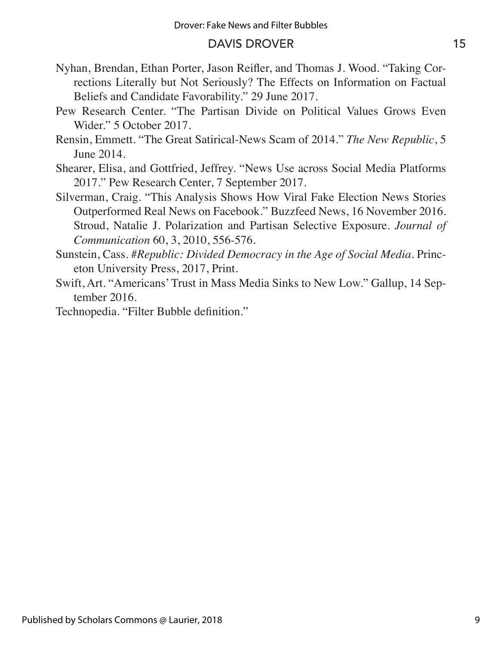- Nyhan, Brendan, Ethan Porter, Jason Reifler, and Thomas J. Wood. "Taking Corrections Literally but Not Seriously? The Effects on Information on Factual Beliefs and Candidate Favorability." 29 June 2017.
- Pew Research Center. "The Partisan Divide on Political Values Grows Even Wider." 5 October 2017.
- Rensin, Emmett. "The Great Satirical-News Scam of 2014." *The New Republic*, 5 June 2014.
- Shearer, Elisa, and Gottfried, Jeffrey. "News Use across Social Media Platforms 2017." Pew Research Center, 7 September 2017.
- Silverman, Craig. "This Analysis Shows How Viral Fake Election News Stories Outperformed Real News on Facebook." Buzzfeed News, 16 November 2016. Stroud, Natalie J. Polarization and Partisan Selective Exposure. *Journal of Communication* 60, 3, 2010, 556-576.
- Sunstein, Cass. *#Republic: Divided Democracy in the Age of Social Media*. Princeton University Press, 2017, Print.
- Swift, Art. "Americans' Trust in Mass Media Sinks to New Low." Gallup, 14 September 2016.
- Technopedia. "Filter Bubble definition."